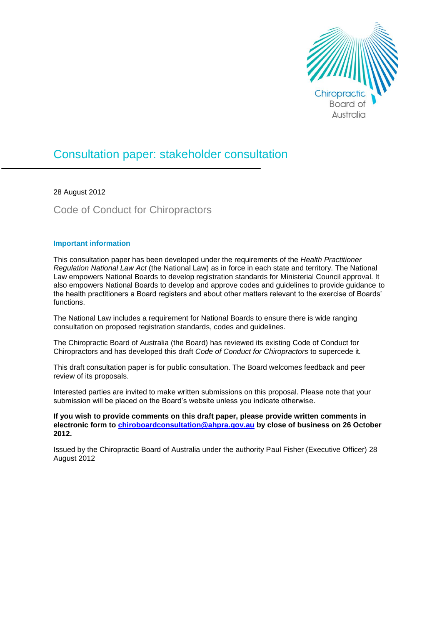

## Consultation paper: stakeholder consultation

28 August 2012

Code of Conduct for Chiropractors

## **Important information**

This consultation paper has been developed under the requirements of the *Health Practitioner Regulation National Law Act* (the National Law) as in force in each state and territory. The National Law empowers National Boards to develop registration standards for Ministerial Council approval. It also empowers National Boards to develop and approve codes and guidelines to provide guidance to the health practitioners a Board registers and about other matters relevant to the exercise of Boards' functions.

The National Law includes a requirement for National Boards to ensure there is wide ranging consultation on proposed registration standards, codes and guidelines.

The Chiropractic Board of Australia (the Board) has reviewed its existing Code of Conduct for Chiropractors and has developed this draft *Code of Conduct for Chiropractors* to supercede it*.*

This draft consultation paper is for public consultation. The Board welcomes feedback and peer review of its proposals.

Interested parties are invited to make written submissions on this proposal. Please note that your submission will be placed on the Board's website unless you indicate otherwise.

**If you wish to provide comments on this draft paper, please provide written comments in electronic form to chiroboardconsultation@ahpra.gov.au by close of business on 26 October 2012.** 

Issued by the Chiropractic Board of Australia under the authority Paul Fisher (Executive Officer) 28 August 2012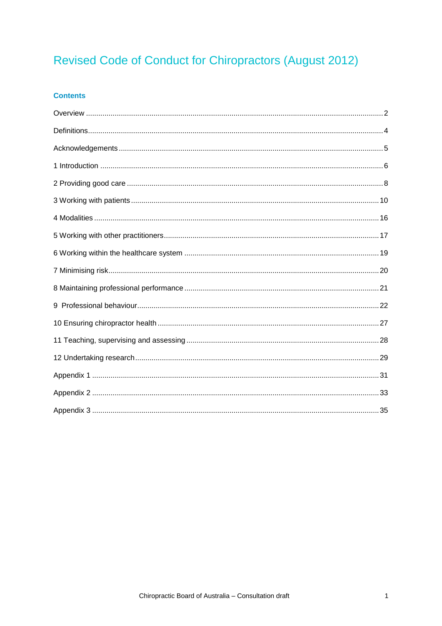# Revised Code of Conduct for Chiropractors (August 2012)

## **Contents**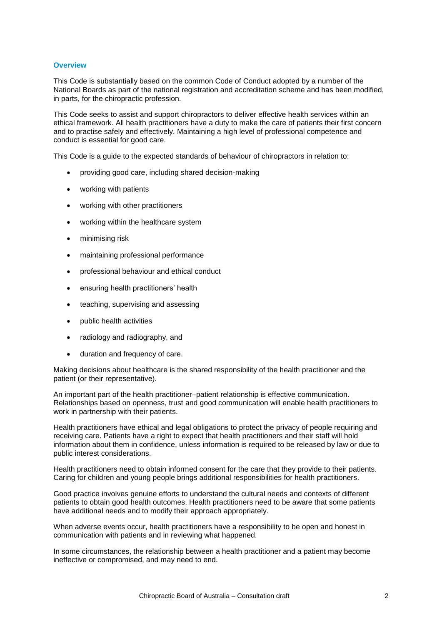## <span id="page-2-0"></span>**Overview**

This Code is substantially based on the common Code of Conduct adopted by a number of the National Boards as part of the national registration and accreditation scheme and has been modified, in parts, for the chiropractic profession.

This Code seeks to assist and support chiropractors to deliver effective health services within an ethical framework. All health practitioners have a duty to make the care of patients their first concern and to practise safely and effectively. Maintaining a high level of professional competence and conduct is essential for good care.

This Code is a guide to the expected standards of behaviour of chiropractors in relation to:

- providing good care, including shared decision-making
- working with patients
- working with other practitioners
- working within the healthcare system
- minimising risk
- maintaining professional performance
- professional behaviour and ethical conduct
- ensuring health practitioners' health
- teaching, supervising and assessing
- public health activities
- radiology and radiography, and
- duration and frequency of care.

Making decisions about healthcare is the shared responsibility of the health practitioner and the patient (or their representative).

An important part of the health practitioner–patient relationship is effective communication. Relationships based on openness, trust and good communication will enable health practitioners to work in partnership with their patients.

Health practitioners have ethical and legal obligations to protect the privacy of people requiring and receiving care. Patients have a right to expect that health practitioners and their staff will hold information about them in confidence, unless information is required to be released by law or due to public interest considerations.

Health practitioners need to obtain informed consent for the care that they provide to their patients. Caring for children and young people brings additional responsibilities for health practitioners.

Good practice involves genuine efforts to understand the cultural needs and contexts of different patients to obtain good health outcomes. Health practitioners need to be aware that some patients have additional needs and to modify their approach appropriately.

When adverse events occur, health practitioners have a responsibility to be open and honest in communication with patients and in reviewing what happened.

In some circumstances, the relationship between a health practitioner and a patient may become ineffective or compromised, and may need to end.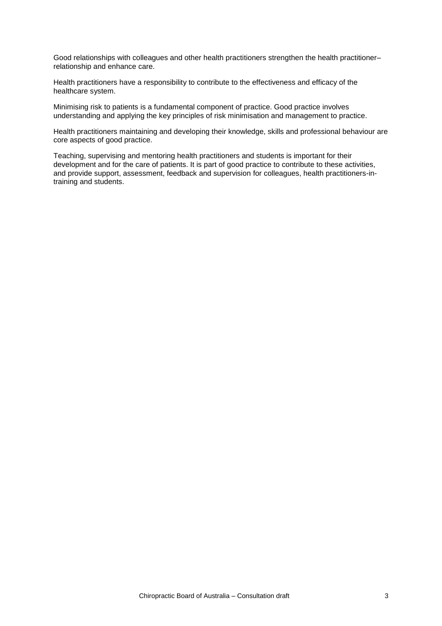Good relationships with colleagues and other health practitioners strengthen the health practitioner– relationship and enhance care.

Health practitioners have a responsibility to contribute to the effectiveness and efficacy of the healthcare system.

Minimising risk to patients is a fundamental component of practice. Good practice involves understanding and applying the key principles of risk minimisation and management to practice.

Health practitioners maintaining and developing their knowledge, skills and professional behaviour are core aspects of good practice.

Teaching, supervising and mentoring health practitioners and students is important for their development and for the care of patients. It is part of good practice to contribute to these activities, and provide support, assessment, feedback and supervision for colleagues, health practitioners-intraining and students.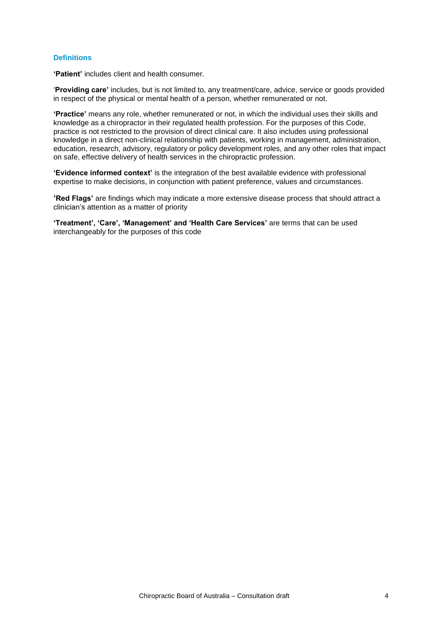## <span id="page-4-0"></span>**Definitions**

**'Patient'** includes client and health consumer.

'**Providing care'** includes, but is not limited to, any treatment/care, advice, service or goods provided in respect of the physical or mental health of a person, whether remunerated or not.

**'Practice'** means any role, whether remunerated or not, in which the individual uses their skills and knowledge as a chiropractor in their regulated health profession. For the purposes of this Code, practice is not restricted to the provision of direct clinical care. It also includes using professional knowledge in a direct non-clinical relationship with patients, working in management, administration, education, research, advisory, regulatory or policy development roles, and any other roles that impact on safe, effective delivery of health services in the chiropractic profession.

**'Evidence informed context'** is the integration of the best available evidence with professional expertise to make decisions, in conjunction with patient preference, values and circumstances.

**'Red Flags'** are findings which may indicate a more extensive disease process that should attract a clinician's attention as a matter of priority

**'Treatment', 'Care', 'Management' and 'Health Care Services'** are terms that can be used interchangeably for the purposes of this code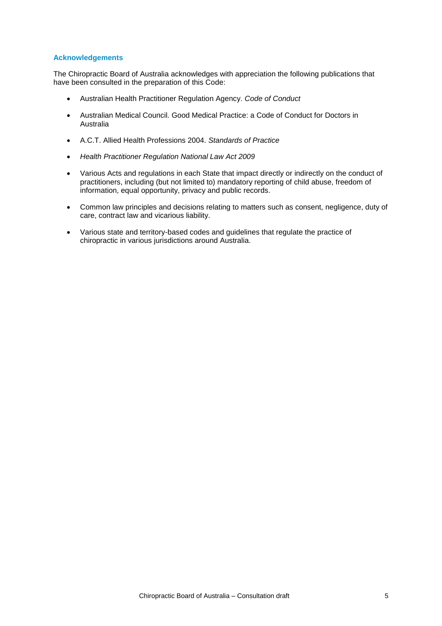## <span id="page-5-0"></span>**Acknowledgements**

The Chiropractic Board of Australia acknowledges with appreciation the following publications that have been consulted in the preparation of this Code:

- Australian Health Practitioner Regulation Agency. *Code of Conduct*
- Australian Medical Council. Good Medical Practice: a Code of Conduct for Doctors in Australia
- A.C.T. Allied Health Professions 2004. *Standards of Practice*
- *Health Practitioner Regulation National Law Act 2009*
- Various Acts and regulations in each State that impact directly or indirectly on the conduct of practitioners, including (but not limited to) mandatory reporting of child abuse, freedom of information, equal opportunity, privacy and public records.
- Common law principles and decisions relating to matters such as consent, negligence, duty of care, contract law and vicarious liability.
- Various state and territory-based codes and guidelines that regulate the practice of chiropractic in various jurisdictions around Australia.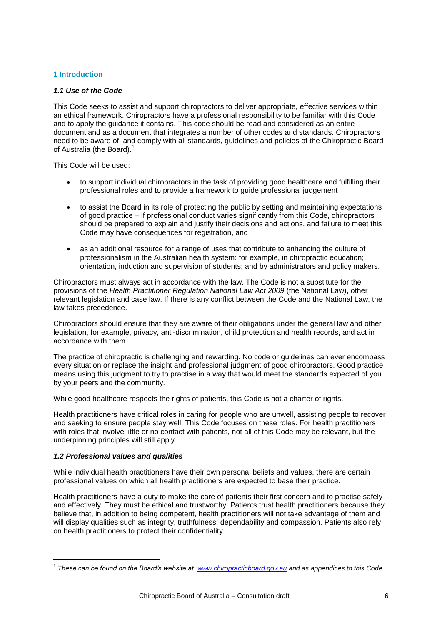## <span id="page-6-0"></span>**1 Introduction**

## *1.1 Use of the Code*

This Code seeks to assist and support chiropractors to deliver appropriate, effective services within an ethical framework. Chiropractors have a professional responsibility to be familiar with this Code and to apply the guidance it contains. This code should be read and considered as an entire document and as a document that integrates a number of other codes and standards. Chiropractors need to be aware of, and comply with all standards, guidelines and policies of the Chiropractic Board of Australia (the Board).<sup>1</sup>

This Code will be used:

- to support individual chiropractors in the task of providing good healthcare and fulfilling their professional roles and to provide a framework to guide professional judgement
- to assist the Board in its role of protecting the public by setting and maintaining expectations of good practice – if professional conduct varies significantly from this Code, chiropractors should be prepared to explain and justify their decisions and actions, and failure to meet this Code may have consequences for registration, and
- as an additional resource for a range of uses that contribute to enhancing the culture of professionalism in the Australian health system: for example, in chiropractic education; orientation, induction and supervision of students; and by administrators and policy makers.

Chiropractors must always act in accordance with the law. The Code is not a substitute for the provisions of the *Health Practitioner Regulation National Law Act 2009* (the National Law), other relevant legislation and case law. If there is any conflict between the Code and the National Law, the law takes precedence.

Chiropractors should ensure that they are aware of their obligations under the general law and other legislation, for example, privacy, anti-discrimination, child protection and health records, and act in accordance with them.

The practice of chiropractic is challenging and rewarding. No code or guidelines can ever encompass every situation or replace the insight and professional judgment of good chiropractors. Good practice means using this judgment to try to practise in a way that would meet the standards expected of you by your peers and the community.

While good healthcare respects the rights of patients, this Code is not a charter of rights.

Health practitioners have critical roles in caring for people who are unwell, assisting people to recover and seeking to ensure people stay well. This Code focuses on these roles. For health practitioners with roles that involve little or no contact with patients, not all of this Code may be relevant, but the underpinning principles will still apply.

#### *1.2 Professional values and qualities*

1

While individual health practitioners have their own personal beliefs and values, there are certain professional values on which all health practitioners are expected to base their practice.

Health practitioners have a duty to make the care of patients their first concern and to practise safely and effectively. They must be ethical and trustworthy. Patients trust health practitioners because they believe that, in addition to being competent, health practitioners will not take advantage of them and will display qualities such as integrity, truthfulness, dependability and compassion. Patients also rely on health practitioners to protect their confidentiality.

<sup>1</sup> *These can be found on the Board's website at: [www.chiropracticboard.gov.au](http://www.chiropracticboard.gov.au/) and as appendices to this Code.*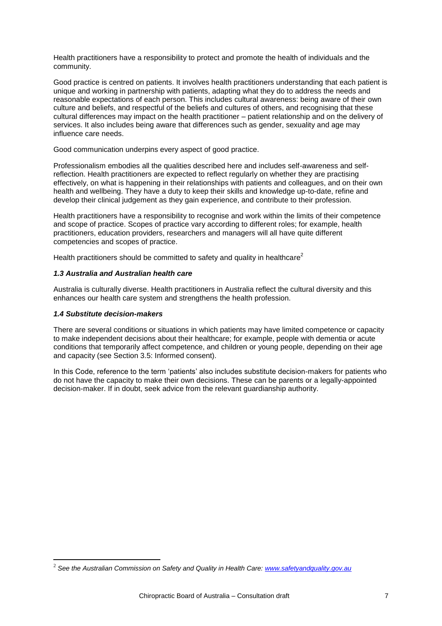Health practitioners have a responsibility to protect and promote the health of individuals and the community.

Good practice is centred on patients. It involves health practitioners understanding that each patient is unique and working in partnership with patients, adapting what they do to address the needs and reasonable expectations of each person. This includes cultural awareness: being aware of their own culture and beliefs, and respectful of the beliefs and cultures of others, and recognising that these cultural differences may impact on the health practitioner – patient relationship and on the delivery of services. It also includes being aware that differences such as gender, sexuality and age may influence care needs.

Good communication underpins every aspect of good practice.

Professionalism embodies all the qualities described here and includes self-awareness and selfreflection. Health practitioners are expected to reflect regularly on whether they are practising effectively, on what is happening in their relationships with patients and colleagues, and on their own health and wellbeing. They have a duty to keep their skills and knowledge up-to-date, refine and develop their clinical judgement as they gain experience, and contribute to their profession.

Health practitioners have a responsibility to recognise and work within the limits of their competence and scope of practice. Scopes of practice vary according to different roles; for example, health practitioners, education providers, researchers and managers will all have quite different competencies and scopes of practice.

Health practitioners should be committed to safety and quality in healthcare<sup>2</sup>

## *1.3 Australia and Australian health care*

Australia is culturally diverse. Health practitioners in Australia reflect the cultural diversity and this enhances our health care system and strengthens the health profession.

## *1.4 Substitute decision-makers*

1

There are several conditions or situations in which patients may have limited competence or capacity to make independent decisions about their healthcare; for example, people with dementia or acute conditions that temporarily affect competence, and children or young people, depending on their age and capacity (see Section 3.5: Informed consent).

In this Code, reference to the term 'patients' also includes substitute decision-makers for patients who do not have the capacity to make their own decisions. These can be parents or a legally-appointed decision-maker. If in doubt, seek advice from the relevant guardianship authority.

<sup>2</sup> *See the Australian Commission on Safety and Quality in Health Care: [www.safetyandquality.gov.au](http://www.safetyandquality.gov.au/)*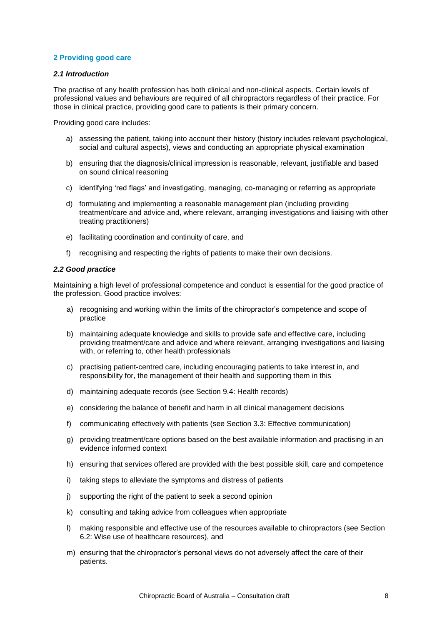## <span id="page-8-0"></span>**2 Providing good care**

## *2.1 Introduction*

The practise of any health profession has both clinical and non-clinical aspects. Certain levels of professional values and behaviours are required of all chiropractors regardless of their practice. For those in clinical practice, providing good care to patients is their primary concern.

Providing good care includes:

- a) assessing the patient, taking into account their history (history includes relevant psychological, social and cultural aspects), views and conducting an appropriate physical examination
- b) ensuring that the diagnosis/clinical impression is reasonable, relevant, justifiable and based on sound clinical reasoning
- c) identifying 'red flags' and investigating, managing, co-managing or referring as appropriate
- d) formulating and implementing a reasonable management plan (including providing treatment/care and advice and, where relevant, arranging investigations and liaising with other treating practitioners)
- e) facilitating coordination and continuity of care, and
- f) recognising and respecting the rights of patients to make their own decisions.

#### *2.2 Good practice*

Maintaining a high level of professional competence and conduct is essential for the good practice of the profession. Good practice involves:

- a) recognising and working within the limits of the chiropractor's competence and scope of practice
- b) maintaining adequate knowledge and skills to provide safe and effective care, including providing treatment/care and advice and where relevant, arranging investigations and liaising with, or referring to, other health professionals
- c) practising patient-centred care, including encouraging patients to take interest in, and responsibility for, the management of their health and supporting them in this
- d) maintaining adequate records (see Section 9.4: Health records)
- e) considering the balance of benefit and harm in all clinical management decisions
- f) communicating effectively with patients (see Section 3.3: Effective communication)
- g) providing treatment/care options based on the best available information and practising in an evidence informed context
- h) ensuring that services offered are provided with the best possible skill, care and competence
- i) taking steps to alleviate the symptoms and distress of patients
- j) supporting the right of the patient to seek a second opinion
- k) consulting and taking advice from colleagues when appropriate
- l) making responsible and effective use of the resources available to chiropractors (see Section 6.2: Wise use of healthcare resources), and
- m) ensuring that the chiropractor's personal views do not adversely affect the care of their patients.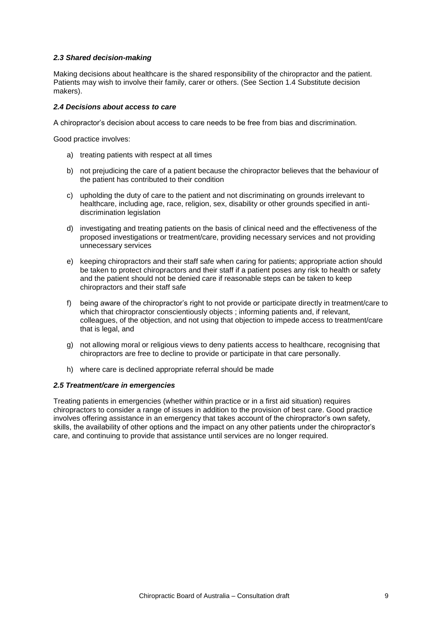## *2.3 Shared decision-making*

Making decisions about healthcare is the shared responsibility of the chiropractor and the patient. Patients may wish to involve their family, carer or others. (See Section 1.4 Substitute decision makers).

## *2.4 Decisions about access to care*

A chiropractor's decision about access to care needs to be free from bias and discrimination.

Good practice involves:

- a) treating patients with respect at all times
- b) not prejudicing the care of a patient because the chiropractor believes that the behaviour of the patient has contributed to their condition
- c) upholding the duty of care to the patient and not discriminating on grounds irrelevant to healthcare, including age, race, religion, sex, disability or other grounds specified in antidiscrimination legislation
- d) investigating and treating patients on the basis of clinical need and the effectiveness of the proposed investigations or treatment/care, providing necessary services and not providing unnecessary services
- e) keeping chiropractors and their staff safe when caring for patients; appropriate action should be taken to protect chiropractors and their staff if a patient poses any risk to health or safety and the patient should not be denied care if reasonable steps can be taken to keep chiropractors and their staff safe
- f) being aware of the chiropractor's right to not provide or participate directly in treatment/care to which that chiropractor conscientiously objects ; informing patients and, if relevant, colleagues, of the objection, and not using that objection to impede access to treatment/care that is legal, and
- g) not allowing moral or religious views to deny patients access to healthcare, recognising that chiropractors are free to decline to provide or participate in that care personally.
- h) where care is declined appropriate referral should be made

#### *2.5 Treatment/care in emergencies*

Treating patients in emergencies (whether within practice or in a first aid situation) requires chiropractors to consider a range of issues in addition to the provision of best care. Good practice involves offering assistance in an emergency that takes account of the chiropractor's own safety, skills, the availability of other options and the impact on any other patients under the chiropractor's care, and continuing to provide that assistance until services are no longer required.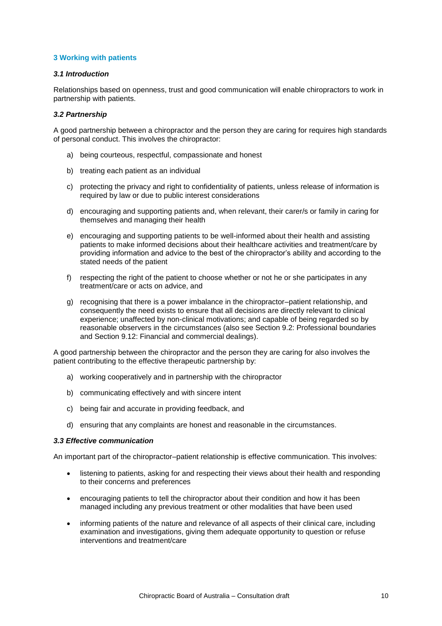## <span id="page-10-0"></span>**3 Working with patients**

## *3.1 Introduction*

Relationships based on openness, trust and good communication will enable chiropractors to work in partnership with patients.

#### *3.2 Partnership*

A good partnership between a chiropractor and the person they are caring for requires high standards of personal conduct. This involves the chiropractor:

- a) being courteous, respectful, compassionate and honest
- b) treating each patient as an individual
- c) protecting the privacy and right to confidentiality of patients, unless release of information is required by law or due to public interest considerations
- d) encouraging and supporting patients and, when relevant, their carer/s or family in caring for themselves and managing their health
- e) encouraging and supporting patients to be well-informed about their health and assisting patients to make informed decisions about their healthcare activities and treatment/care by providing information and advice to the best of the chiropractor's ability and according to the stated needs of the patient
- f) respecting the right of the patient to choose whether or not he or she participates in any treatment/care or acts on advice, and
- g) recognising that there is a power imbalance in the chiropractor–patient relationship, and consequently the need exists to ensure that all decisions are directly relevant to clinical experience; unaffected by non-clinical motivations; and capable of being regarded so by reasonable observers in the circumstances (also see Section 9.2: Professional boundaries and Section 9.12: Financial and commercial dealings).

A good partnership between the chiropractor and the person they are caring for also involves the patient contributing to the effective therapeutic partnership by:

- a) working cooperatively and in partnership with the chiropractor
- b) communicating effectively and with sincere intent
- c) being fair and accurate in providing feedback, and
- d) ensuring that any complaints are honest and reasonable in the circumstances.

#### *3.3 Effective communication*

An important part of the chiropractor–patient relationship is effective communication. This involves:

- listening to patients, asking for and respecting their views about their health and responding to their concerns and preferences
- encouraging patients to tell the chiropractor about their condition and how it has been managed including any previous treatment or other modalities that have been used
- informing patients of the nature and relevance of all aspects of their clinical care, including examination and investigations, giving them adequate opportunity to question or refuse interventions and treatment/care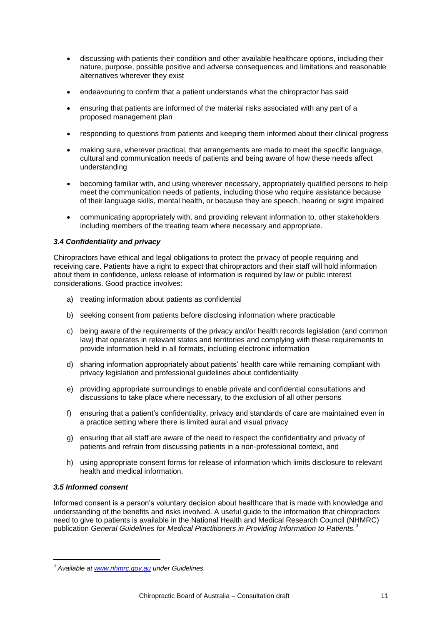- discussing with patients their condition and other available healthcare options, including their nature, purpose, possible positive and adverse consequences and limitations and reasonable alternatives wherever they exist
- endeavouring to confirm that a patient understands what the chiropractor has said
- ensuring that patients are informed of the material risks associated with any part of a proposed management plan
- responding to questions from patients and keeping them informed about their clinical progress
- making sure, wherever practical, that arrangements are made to meet the specific language, cultural and communication needs of patients and being aware of how these needs affect understanding
- becoming familiar with, and using wherever necessary, appropriately qualified persons to help meet the communication needs of patients, including those who require assistance because of their language skills, mental health, or because they are speech, hearing or sight impaired
- communicating appropriately with, and providing relevant information to, other stakeholders including members of the treating team where necessary and appropriate.

## *3.4 Confidentiality and privacy*

Chiropractors have ethical and legal obligations to protect the privacy of people requiring and receiving care. Patients have a right to expect that chiropractors and their staff will hold information about them in confidence, unless release of information is required by law or public interest considerations. Good practice involves:

- a) treating information about patients as confidential
- b) seeking consent from patients before disclosing information where practicable
- c) being aware of the requirements of the privacy and/or health records legislation (and common law) that operates in relevant states and territories and complying with these requirements to provide information held in all formats, including electronic information
- d) sharing information appropriately about patients' health care while remaining compliant with privacy legislation and professional guidelines about confidentiality
- e) providing appropriate surroundings to enable private and confidential consultations and discussions to take place where necessary, to the exclusion of all other persons
- f) ensuring that a patient's confidentiality, privacy and standards of care are maintained even in a practice setting where there is limited aural and visual privacy
- g) ensuring that all staff are aware of the need to respect the confidentiality and privacy of patients and refrain from discussing patients in a non-professional context, and
- h) using appropriate consent forms for release of information which limits disclosure to relevant health and medical information.

## *3.5 Informed consent*

1

Informed consent is a person's voluntary decision about healthcare that is made with knowledge and understanding of the benefits and risks involved. A useful guide to the information that chiropractors need to give to patients is available in the National Health and Medical Research Council (NHMRC) publication *General Guidelines for Medical Practitioners in Providing Information to Patients.*<sup>3</sup>

<sup>3</sup> *Available at [www.nhmrc.gov.au](http://www.nhmrc.gov.au/) under Guidelines.*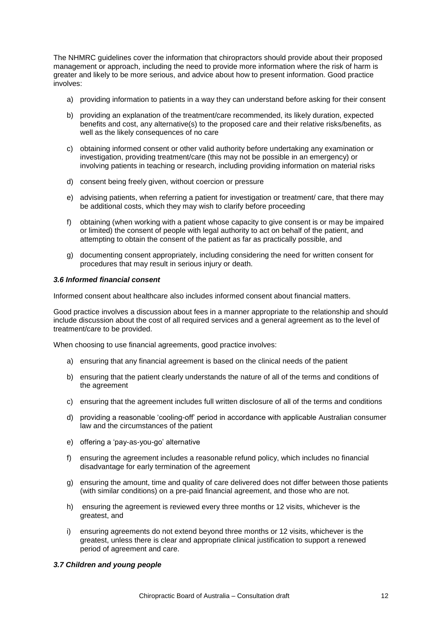The NHMRC guidelines cover the information that chiropractors should provide about their proposed management or approach, including the need to provide more information where the risk of harm is greater and likely to be more serious, and advice about how to present information. Good practice involves:

- a) providing information to patients in a way they can understand before asking for their consent
- b) providing an explanation of the treatment/care recommended, its likely duration, expected benefits and cost, any alternative(s) to the proposed care and their relative risks/benefits, as well as the likely consequences of no care
- c) obtaining informed consent or other valid authority before undertaking any examination or investigation, providing treatment/care (this may not be possible in an emergency) or involving patients in teaching or research, including providing information on material risks
- d) consent being freely given, without coercion or pressure
- e) advising patients, when referring a patient for investigation or treatment/ care, that there may be additional costs, which they may wish to clarify before proceeding
- f) obtaining (when working with a patient whose capacity to give consent is or may be impaired or limited) the consent of people with legal authority to act on behalf of the patient, and attempting to obtain the consent of the patient as far as practically possible, and
- g) documenting consent appropriately, including considering the need for written consent for procedures that may result in serious injury or death.

#### *3.6 Informed financial consent*

Informed consent about healthcare also includes informed consent about financial matters.

Good practice involves a discussion about fees in a manner appropriate to the relationship and should include discussion about the cost of all required services and a general agreement as to the level of treatment/care to be provided.

When choosing to use financial agreements, good practice involves:

- a) ensuring that any financial agreement is based on the clinical needs of the patient
- b) ensuring that the patient clearly understands the nature of all of the terms and conditions of the agreement
- c) ensuring that the agreement includes full written disclosure of all of the terms and conditions
- d) providing a reasonable 'cooling-off' period in accordance with applicable Australian consumer law and the circumstances of the patient
- e) offering a 'pay-as-you-go' alternative
- f) ensuring the agreement includes a reasonable refund policy, which includes no financial disadvantage for early termination of the agreement
- g) ensuring the amount, time and quality of care delivered does not differ between those patients (with similar conditions) on a pre-paid financial agreement, and those who are not.
- h) ensuring the agreement is reviewed every three months or 12 visits, whichever is the greatest, and
- i) ensuring agreements do not extend beyond three months or 12 visits, whichever is the greatest, unless there is clear and appropriate clinical justification to support a renewed period of agreement and care.

#### *3.7 Children and young people*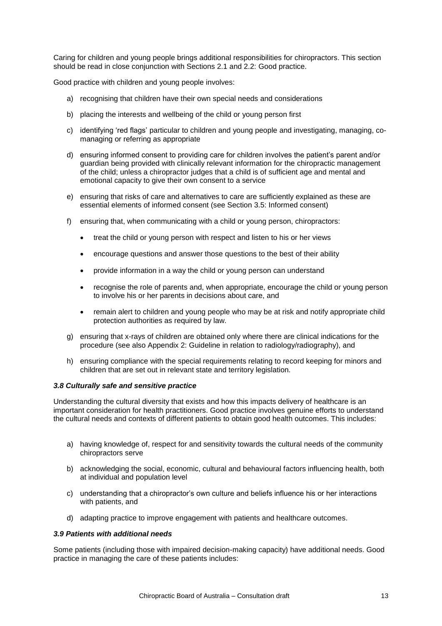Caring for children and young people brings additional responsibilities for chiropractors. This section should be read in close conjunction with Sections 2.1 and 2.2: Good practice.

Good practice with children and young people involves:

- a) recognising that children have their own special needs and considerations
- b) placing the interests and wellbeing of the child or young person first
- c) identifying 'red flags' particular to children and young people and investigating, managing, comanaging or referring as appropriate
- d) ensuring informed consent to providing care for children involves the patient's parent and/or guardian being provided with clinically relevant information for the chiropractic management of the child; unless a chiropractor judges that a child is of sufficient age and mental and emotional capacity to give their own consent to a service
- e) ensuring that risks of care and alternatives to care are sufficiently explained as these are essential elements of informed consent (see Section 3.5: Informed consent)
- f) ensuring that, when communicating with a child or young person, chiropractors:
	- treat the child or young person with respect and listen to his or her views
	- encourage questions and answer those questions to the best of their ability
	- provide information in a way the child or young person can understand
	- recognise the role of parents and, when appropriate, encourage the child or young person to involve his or her parents in decisions about care, and
	- remain alert to children and young people who may be at risk and notify appropriate child protection authorities as required by law.
- g) ensuring that x-rays of children are obtained only where there are clinical indications for the procedure (see also Appendix 2: Guideline in relation to radiology/radiography), and
- h) ensuring compliance with the special requirements relating to record keeping for minors and children that are set out in relevant state and territory legislation.

## *3.8 Culturally safe and sensitive practice*

Understanding the cultural diversity that exists and how this impacts delivery of healthcare is an important consideration for health practitioners. Good practice involves genuine efforts to understand the cultural needs and contexts of different patients to obtain good health outcomes. This includes:

- a) having knowledge of, respect for and sensitivity towards the cultural needs of the community chiropractors serve
- b) acknowledging the social, economic, cultural and behavioural factors influencing health, both at individual and population level
- c) understanding that a chiropractor's own culture and beliefs influence his or her interactions with patients, and
- d) adapting practice to improve engagement with patients and healthcare outcomes.

## *3.9 Patients with additional needs*

Some patients (including those with impaired decision-making capacity) have additional needs. Good practice in managing the care of these patients includes: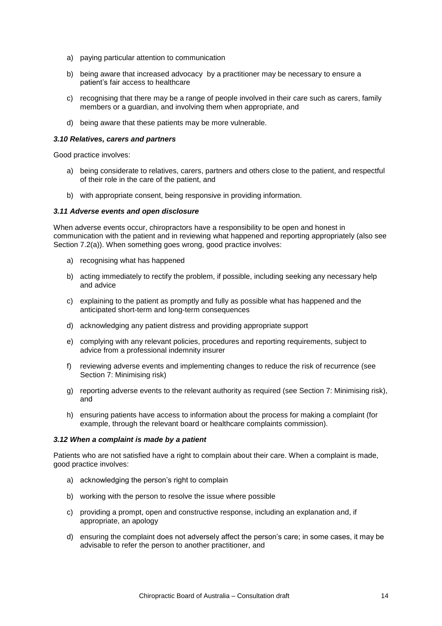- a) paying particular attention to communication
- b) being aware that increased advocacy by a practitioner may be necessary to ensure a patient's fair access to healthcare
- c) recognising that there may be a range of people involved in their care such as carers, family members or a guardian, and involving them when appropriate, and
- d) being aware that these patients may be more vulnerable.

#### *3.10 Relatives, carers and partners*

Good practice involves:

- a) being considerate to relatives, carers, partners and others close to the patient, and respectful of their role in the care of the patient, and
- b) with appropriate consent, being responsive in providing information.

#### *3.11 Adverse events and open disclosure*

When adverse events occur, chiropractors have a responsibility to be open and honest in communication with the patient and in reviewing what happened and reporting appropriately (also see Section 7.2(a)). When something goes wrong, good practice involves:

- a) recognising what has happened
- b) acting immediately to rectify the problem, if possible, including seeking any necessary help and advice
- c) explaining to the patient as promptly and fully as possible what has happened and the anticipated short-term and long-term consequences
- d) acknowledging any patient distress and providing appropriate support
- e) complying with any relevant policies, procedures and reporting requirements, subject to advice from a professional indemnity insurer
- f) reviewing adverse events and implementing changes to reduce the risk of recurrence (see Section 7: Minimising risk)
- g) reporting adverse events to the relevant authority as required (see Section 7: Minimising risk), and
- h) ensuring patients have access to information about the process for making a complaint (for example, through the relevant board or healthcare complaints commission).

#### *3.12 When a complaint is made by a patient*

Patients who are not satisfied have a right to complain about their care. When a complaint is made, good practice involves:

- a) acknowledging the person's right to complain
- b) working with the person to resolve the issue where possible
- c) providing a prompt, open and constructive response, including an explanation and, if appropriate, an apology
- d) ensuring the complaint does not adversely affect the person's care; in some cases, it may be advisable to refer the person to another practitioner, and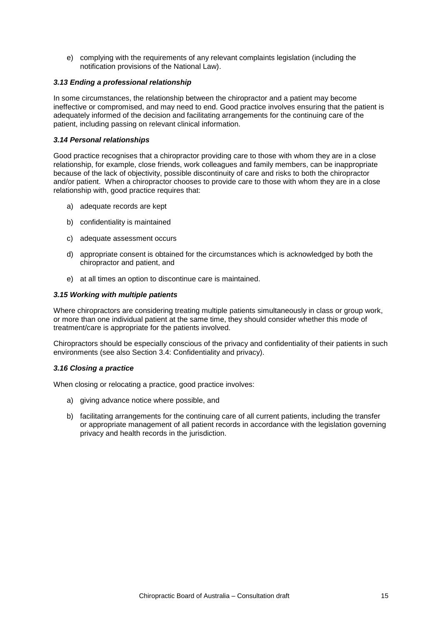e) complying with the requirements of any relevant complaints legislation (including the notification provisions of the National Law).

## *3.13 Ending a professional relationship*

In some circumstances, the relationship between the chiropractor and a patient may become ineffective or compromised, and may need to end. Good practice involves ensuring that the patient is adequately informed of the decision and facilitating arrangements for the continuing care of the patient, including passing on relevant clinical information.

## *3.14 Personal relationships*

Good practice recognises that a chiropractor providing care to those with whom they are in a close relationship, for example, close friends, work colleagues and family members, can be inappropriate because of the lack of objectivity, possible discontinuity of care and risks to both the chiropractor and/or patient. When a chiropractor chooses to provide care to those with whom they are in a close relationship with, good practice requires that:

- a) adequate records are kept
- b) confidentiality is maintained
- c) adequate assessment occurs
- d) appropriate consent is obtained for the circumstances which is acknowledged by both the chiropractor and patient, and
- e) at all times an option to discontinue care is maintained.

## *3.15 Working with multiple patients*

Where chiropractors are considering treating multiple patients simultaneously in class or group work, or more than one individual patient at the same time, they should consider whether this mode of treatment/care is appropriate for the patients involved.

Chiropractors should be especially conscious of the privacy and confidentiality of their patients in such environments (see also Section 3.4: Confidentiality and privacy).

#### *3.16 Closing a practice*

When closing or relocating a practice, good practice involves:

- a) giving advance notice where possible, and
- b) facilitating arrangements for the continuing care of all current patients, including the transfer or appropriate management of all patient records in accordance with the legislation governing privacy and health records in the jurisdiction.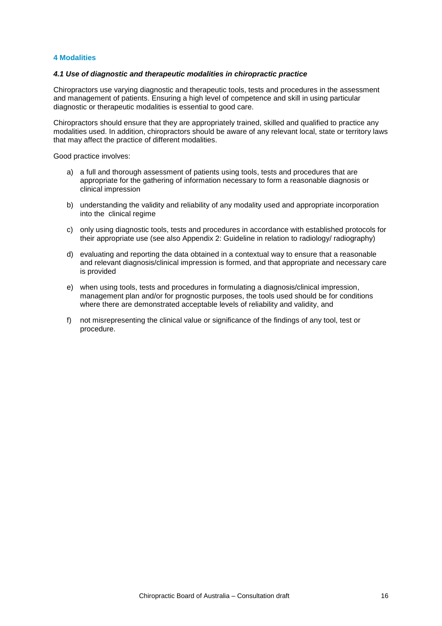## <span id="page-16-0"></span>**4 Modalities**

## *4.1 Use of diagnostic and therapeutic modalities in chiropractic practice*

Chiropractors use varying diagnostic and therapeutic tools, tests and procedures in the assessment and management of patients. Ensuring a high level of competence and skill in using particular diagnostic or therapeutic modalities is essential to good care.

Chiropractors should ensure that they are appropriately trained, skilled and qualified to practice any modalities used. In addition, chiropractors should be aware of any relevant local, state or territory laws that may affect the practice of different modalities.

Good practice involves:

- a) a full and thorough assessment of patients using tools, tests and procedures that are appropriate for the gathering of information necessary to form a reasonable diagnosis or clinical impression
- b) understanding the validity and reliability of any modality used and appropriate incorporation into the clinical regime
- c) only using diagnostic tools, tests and procedures in accordance with established protocols for their appropriate use (see also Appendix 2: Guideline in relation to radiology/ radiography)
- d) evaluating and reporting the data obtained in a contextual way to ensure that a reasonable and relevant diagnosis/clinical impression is formed, and that appropriate and necessary care is provided
- e) when using tools, tests and procedures in formulating a diagnosis/clinical impression, management plan and/or for prognostic purposes, the tools used should be for conditions where there are demonstrated acceptable levels of reliability and validity, and
- f) not misrepresenting the clinical value or significance of the findings of any tool, test or procedure.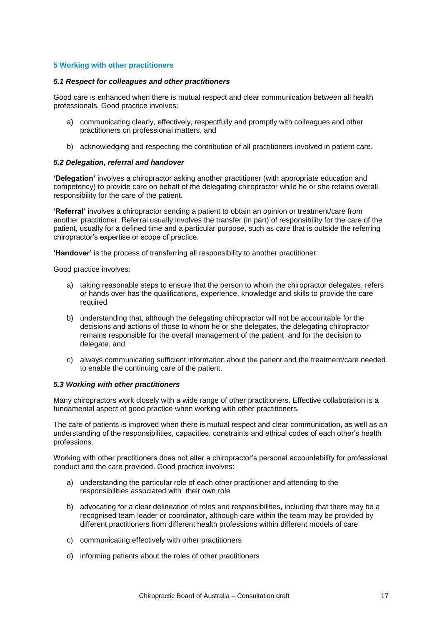## <span id="page-17-0"></span>**5 Working with other practitioners**

#### *5.1 Respect for colleagues and other practitioners*

Good care is enhanced when there is mutual respect and clear communication between all health professionals. Good practice involves:

- a) communicating clearly, effectively, respectfully and promptly with colleagues and other practitioners on professional matters, and
- b) acknowledging and respecting the contribution of all practitioners involved in patient care.

#### *5.2 Delegation, referral and handover*

**'Delegation'** involves a chiropractor asking another practitioner (with appropriate education and competency) to provide care on behalf of the delegating chiropractor while he or she retains overall responsibility for the care of the patient.

**'Referral'** involves a chiropractor sending a patient to obtain an opinion or treatment/care from another practitioner. Referral usually involves the transfer (in part) of responsibility for the care of the patient, usually for a defined time and a particular purpose, such as care that is outside the referring chiropractor's expertise or scope of practice.

**'Handover'** is the process of transferring all responsibility to another practitioner.

Good practice involves:

- a) taking reasonable steps to ensure that the person to whom the chiropractor delegates, refers or hands over has the qualifications, experience, knowledge and skills to provide the care required
- b) understanding that, although the delegating chiropractor will not be accountable for the decisions and actions of those to whom he or she delegates, the delegating chiropractor remains responsible for the overall management of the patient and for the decision to delegate, and
- c) always communicating sufficient information about the patient and the treatment/care needed to enable the continuing care of the patient.

#### *5.3 Working with other practitioners*

Many chiropractors work closely with a wide range of other practitioners. Effective collaboration is a fundamental aspect of good practice when working with other practitioners.

The care of patients is improved when there is mutual respect and clear communication, as well as an understanding of the responsibilities, capacities, constraints and ethical codes of each other's health professions.

Working with other practitioners does not alter a chiropractor's personal accountability for professional conduct and the care provided. Good practice involves:

- a) understanding the particular role of each other practitioner and attending to the responsibilities associated with their own role
- b) advocating for a clear delineation of roles and responsibilities, including that there may be a recognised team leader or coordinator, although care within the team may be provided by different practitioners from different health professions within different models of care
- c) communicating effectively with other practitioners
- d) informing patients about the roles of other practitioners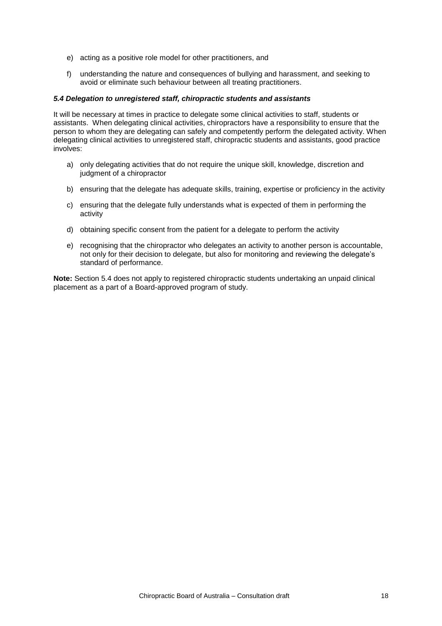- e) acting as a positive role model for other practitioners, and
- f) understanding the nature and consequences of bullying and harassment, and seeking to avoid or eliminate such behaviour between all treating practitioners.

## *5.4 Delegation to unregistered staff, chiropractic students and assistants*

It will be necessary at times in practice to delegate some clinical activities to staff, students or assistants. When delegating clinical activities, chiropractors have a responsibility to ensure that the person to whom they are delegating can safely and competently perform the delegated activity. When delegating clinical activities to unregistered staff, chiropractic students and assistants, good practice involves:

- a) only delegating activities that do not require the unique skill, knowledge, discretion and judgment of a chiropractor
- b) ensuring that the delegate has adequate skills, training, expertise or proficiency in the activity
- c) ensuring that the delegate fully understands what is expected of them in performing the activity
- d) obtaining specific consent from the patient for a delegate to perform the activity
- e) recognising that the chiropractor who delegates an activity to another person is accountable, not only for their decision to delegate, but also for monitoring and reviewing the delegate's standard of performance.

**Note:** Section 5.4 does not apply to registered chiropractic students undertaking an unpaid clinical placement as a part of a Board-approved program of study.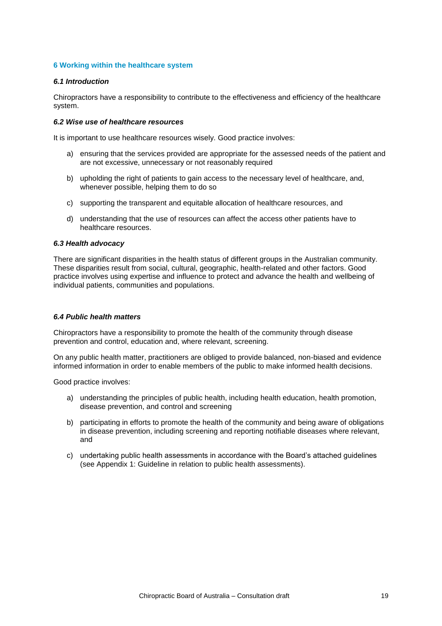## <span id="page-19-0"></span>**6 Working within the healthcare system**

## *6.1 Introduction*

Chiropractors have a responsibility to contribute to the effectiveness and efficiency of the healthcare system.

## *6.2 Wise use of healthcare resources*

It is important to use healthcare resources wisely. Good practice involves:

- a) ensuring that the services provided are appropriate for the assessed needs of the patient and are not excessive, unnecessary or not reasonably required
- b) upholding the right of patients to gain access to the necessary level of healthcare, and, whenever possible, helping them to do so
- c) supporting the transparent and equitable allocation of healthcare resources, and
- d) understanding that the use of resources can affect the access other patients have to healthcare resources.

#### *6.3 Health advocacy*

There are significant disparities in the health status of different groups in the Australian community. These disparities result from social, cultural, geographic, health-related and other factors. Good practice involves using expertise and influence to protect and advance the health and wellbeing of individual patients, communities and populations.

#### *6.4 Public health matters*

Chiropractors have a responsibility to promote the health of the community through disease prevention and control, education and, where relevant, screening.

On any public health matter, practitioners are obliged to provide balanced, non-biased and evidence informed information in order to enable members of the public to make informed health decisions.

Good practice involves:

- a) understanding the principles of public health, including health education, health promotion, disease prevention, and control and screening
- b) participating in efforts to promote the health of the community and being aware of obligations in disease prevention, including screening and reporting notifiable diseases where relevant, and
- c) undertaking public health assessments in accordance with the Board's attached guidelines (see Appendix 1: Guideline in relation to public health assessments).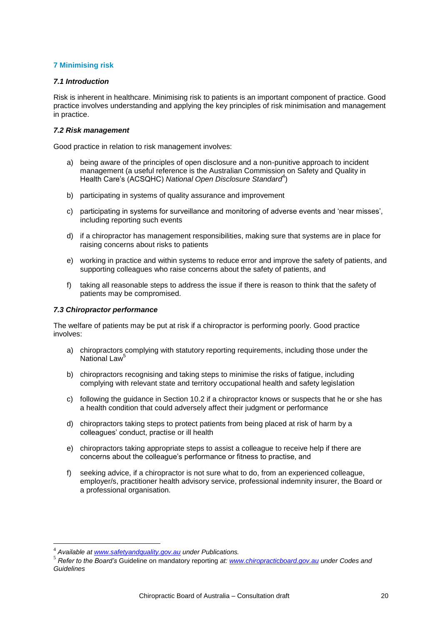## <span id="page-20-0"></span>**7 Minimising risk**

## *7.1 Introduction*

Risk is inherent in healthcare. Minimising risk to patients is an important component of practice. Good practice involves understanding and applying the key principles of risk minimisation and management in practice.

## *7.2 Risk management*

Good practice in relation to risk management involves:

- a) being aware of the principles of open disclosure and a non-punitive approach to incident management (a useful reference is the Australian Commission on Safety and Quality in Health Care's (ACSQHC) National Open Disclosure Standard<sup>4</sup>)
- b) participating in systems of quality assurance and improvement
- c) participating in systems for surveillance and monitoring of adverse events and 'near misses', including reporting such events
- d) if a chiropractor has management responsibilities, making sure that systems are in place for raising concerns about risks to patients
- e) working in practice and within systems to reduce error and improve the safety of patients, and supporting colleagues who raise concerns about the safety of patients, and
- f) taking all reasonable steps to address the issue if there is reason to think that the safety of patients may be compromised.

## *7.3 Chiropractor performance*

The welfare of patients may be put at risk if a chiropractor is performing poorly. Good practice involves:

- a) chiropractors complying with statutory reporting requirements, including those under the National Law<sup>5</sup>
- b) chiropractors recognising and taking steps to minimise the risks of fatigue, including complying with relevant state and territory occupational health and safety legislation
- c) following the guidance in Section 10.2 if a chiropractor knows or suspects that he or she has a health condition that could adversely affect their judgment or performance
- d) chiropractors taking steps to protect patients from being placed at risk of harm by a colleagues' conduct, practise or ill health
- e) chiropractors taking appropriate steps to assist a colleague to receive help if there are concerns about the colleague's performance or fitness to practise, and
- f) seeking advice, if a chiropractor is not sure what to do, from an experienced colleague, employer/s, practitioner health advisory service, professional indemnity insurer, the Board or a professional organisation.

1

<sup>4</sup> *Available at [www.safetyandquality.gov.au](http://www.safetyandquality.gov.au/) under Publications.*

<sup>5</sup> *Refer to the Board's* Guideline on mandatory reporting *at: [www.chiropracticboard.gov.au](http://www.chiropracticboard.gov.au/) under Codes and Guidelines*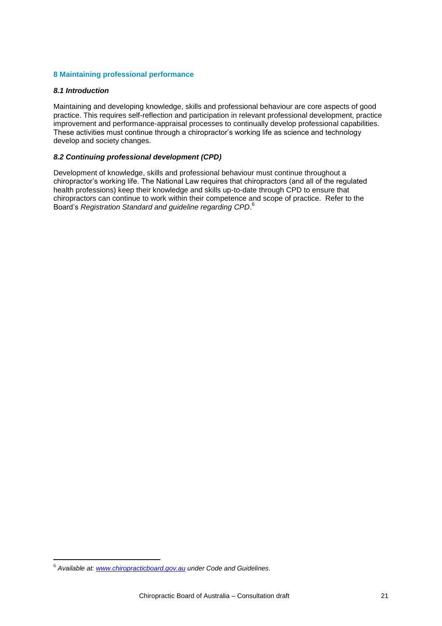## <span id="page-21-0"></span>**8 Maintaining professional performance**

## *8.1 Introduction*

Maintaining and developing knowledge, skills and professional behaviour are core aspects of good practice. This requires self-reflection and participation in relevant professional development, practice improvement and performance-appraisal processes to continually develop professional capabilities. These activities must continue through a chiropractor's working life as science and technology develop and society changes.

## *8.2 Continuing professional development (CPD)*

Development of knowledge, skills and professional behaviour must continue throughout a chiropractor's working life. The National Law requires that chiropractors (and all of the regulated health professions) keep their knowledge and skills up-to-date through CPD to ensure that chiropractors can continue to work within their competence and scope of practice. Refer to the Board's *Registration Standard and guideline regarding CPD*. 6

1

<sup>6</sup> *Available at: [www.chiropracticboard.gov.au](http://www.chiropracticboard.gov.au/) under Code and Guidelines.*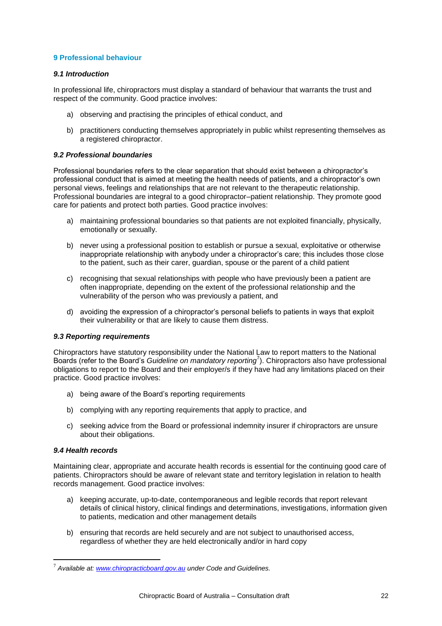## <span id="page-22-0"></span>**9 Professional behaviour**

## *9.1 Introduction*

In professional life, chiropractors must display a standard of behaviour that warrants the trust and respect of the community. Good practice involves:

- a) observing and practising the principles of ethical conduct, and
- b) practitioners conducting themselves appropriately in public whilst representing themselves as a registered chiropractor.

## *9.2 Professional boundaries*

Professional boundaries refers to the clear separation that should exist between a chiropractor's professional conduct that is aimed at meeting the health needs of patients, and a chiropractor's own personal views, feelings and relationships that are not relevant to the therapeutic relationship. Professional boundaries are integral to a good chiropractor–patient relationship. They promote good care for patients and protect both parties. Good practice involves:

- a) maintaining professional boundaries so that patients are not exploited financially, physically, emotionally or sexually.
- b) never using a professional position to establish or pursue a sexual, exploitative or otherwise inappropriate relationship with anybody under a chiropractor's care; this includes those close to the patient, such as their carer, guardian, spouse or the parent of a child patient
- c) recognising that sexual relationships with people who have previously been a patient are often inappropriate, depending on the extent of the professional relationship and the vulnerability of the person who was previously a patient, and
- d) avoiding the expression of a chiropractor's personal beliefs to patients in ways that exploit their vulnerability or that are likely to cause them distress.

## *9.3 Reporting requirements*

Chiropractors have statutory responsibility under the National Law to report matters to the National Boards (refer to the Board's *Guideline on mandatory reporting*<sup>7</sup> ). Chiropractors also have professional obligations to report to the Board and their employer/s if they have had any limitations placed on their practice. Good practice involves:

- a) being aware of the Board's reporting requirements
- b) complying with any reporting requirements that apply to practice, and
- c) seeking advice from the Board or professional indemnity insurer if chiropractors are unsure about their obligations.

#### *9.4 Health records*

1

Maintaining clear, appropriate and accurate health records is essential for the continuing good care of patients. Chiropractors should be aware of relevant state and territory legislation in relation to health records management. Good practice involves:

- a) keeping accurate, up-to-date, contemporaneous and legible records that report relevant details of clinical history, clinical findings and determinations, investigations, information given to patients, medication and other management details
- b) ensuring that records are held securely and are not subject to unauthorised access, regardless of whether they are held electronically and/or in hard copy

<sup>7</sup> *Available at: [www.chiropracticboard.gov.au](http://www.chiropracticboard.gov.au/) under Code and Guidelines.*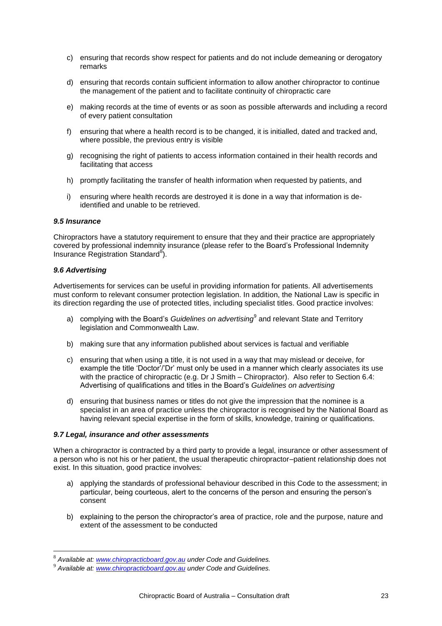- c) ensuring that records show respect for patients and do not include demeaning or derogatory remarks
- d) ensuring that records contain sufficient information to allow another chiropractor to continue the management of the patient and to facilitate continuity of chiropractic care
- e) making records at the time of events or as soon as possible afterwards and including a record of every patient consultation
- f) ensuring that where a health record is to be changed, it is initialled, dated and tracked and, where possible, the previous entry is visible
- g) recognising the right of patients to access information contained in their health records and facilitating that access
- h) promptly facilitating the transfer of health information when requested by patients, and
- i) ensuring where health records are destroyed it is done in a way that information is deidentified and unable to be retrieved.

#### *9.5 Insurance*

Chiropractors have a statutory requirement to ensure that they and their practice are appropriately covered by professional indemnity insurance (please refer to the Board's Professional Indemnity Insurance Registration Standard<sup>8</sup>).

#### *9.6 Advertising*

1

Advertisements for services can be useful in providing information for patients. All advertisements must conform to relevant consumer protection legislation. In addition, the National Law is specific in its direction regarding the use of protected titles, including specialist titles. Good practice involves:

- a) complying with the Board's *Guidelines on advertising*<sup>9</sup> and relevant State and Territory legislation and Commonwealth Law.
- b) making sure that any information published about services is factual and verifiable
- c) ensuring that when using a title, it is not used in a way that may mislead or deceive, for example the title 'Doctor'/'Dr' must only be used in a manner which clearly associates its use with the practice of chiropractic (e.g. Dr J Smith – Chiropractor). Also refer to Section 6.4: Advertising of qualifications and titles in the Board's *Guidelines on advertising*
- d) ensuring that business names or titles do not give the impression that the nominee is a specialist in an area of practice unless the chiropractor is recognised by the National Board as having relevant special expertise in the form of skills, knowledge, training or qualifications.

## *9.7 Legal, insurance and other assessments*

When a chiropractor is contracted by a third party to provide a legal, insurance or other assessment of a person who is not his or her patient, the usual therapeutic chiropractor–patient relationship does not exist. In this situation, good practice involves:

- a) applying the standards of professional behaviour described in this Code to the assessment; in particular, being courteous, alert to the concerns of the person and ensuring the person's consent
- b) explaining to the person the chiropractor's area of practice, role and the purpose, nature and extent of the assessment to be conducted

<sup>8</sup> *Available at: [www.chiropracticboard.gov.au](http://www.chiropracticboard.gov.au/) under Code and Guidelines.*

<sup>9</sup> *Available at: [www.chiropracticboard.gov.au](http://www.chiropracticboard.gov.au/) under Code and Guidelines.*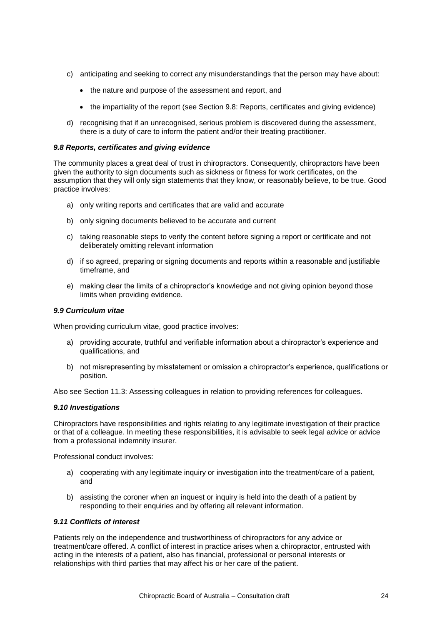- c) anticipating and seeking to correct any misunderstandings that the person may have about:
	- the nature and purpose of the assessment and report, and
	- the impartiality of the report (see Section 9.8: Reports, certificates and giving evidence)
- d) recognising that if an unrecognised, serious problem is discovered during the assessment, there is a duty of care to inform the patient and/or their treating practitioner.

#### *9.8 Reports, certificates and giving evidence*

The community places a great deal of trust in chiropractors. Consequently, chiropractors have been given the authority to sign documents such as sickness or fitness for work certificates, on the assumption that they will only sign statements that they know, or reasonably believe, to be true. Good practice involves:

- a) only writing reports and certificates that are valid and accurate
- b) only signing documents believed to be accurate and current
- c) taking reasonable steps to verify the content before signing a report or certificate and not deliberately omitting relevant information
- d) if so agreed, preparing or signing documents and reports within a reasonable and justifiable timeframe, and
- e) making clear the limits of a chiropractor's knowledge and not giving opinion beyond those limits when providing evidence.

#### *9.9 Curriculum vitae*

When providing curriculum vitae, good practice involves:

- a) providing accurate, truthful and verifiable information about a chiropractor's experience and qualifications, and
- b) not misrepresenting by misstatement or omission a chiropractor's experience, qualifications or position.

Also see Section 11.3: Assessing colleagues in relation to providing references for colleagues.

#### *9.10 Investigations*

Chiropractors have responsibilities and rights relating to any legitimate investigation of their practice or that of a colleague. In meeting these responsibilities, it is advisable to seek legal advice or advice from a professional indemnity insurer.

Professional conduct involves:

- a) cooperating with any legitimate inquiry or investigation into the treatment/care of a patient, and
- b) assisting the coroner when an inquest or inquiry is held into the death of a patient by responding to their enquiries and by offering all relevant information.

#### *9.11 Conflicts of interest*

Patients rely on the independence and trustworthiness of chiropractors for any advice or treatment/care offered. A conflict of interest in practice arises when a chiropractor, entrusted with acting in the interests of a patient, also has financial, professional or personal interests or relationships with third parties that may affect his or her care of the patient.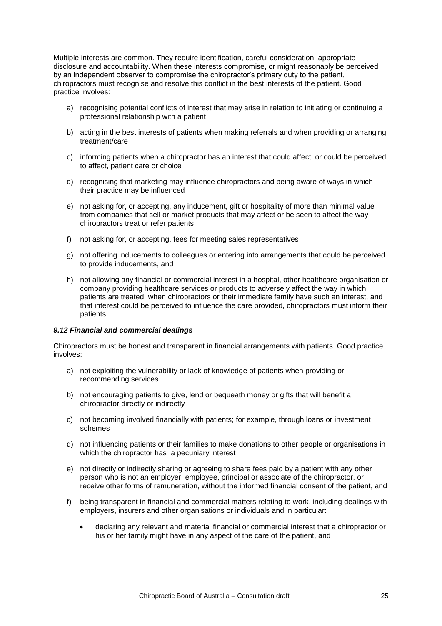Multiple interests are common. They require identification, careful consideration, appropriate disclosure and accountability. When these interests compromise, or might reasonably be perceived by an independent observer to compromise the chiropractor's primary duty to the patient, chiropractors must recognise and resolve this conflict in the best interests of the patient. Good practice involves:

- a) recognising potential conflicts of interest that may arise in relation to initiating or continuing a professional relationship with a patient
- b) acting in the best interests of patients when making referrals and when providing or arranging treatment/care
- c) informing patients when a chiropractor has an interest that could affect, or could be perceived to affect, patient care or choice
- d) recognising that marketing may influence chiropractors and being aware of ways in which their practice may be influenced
- e) not asking for, or accepting, any inducement, gift or hospitality of more than minimal value from companies that sell or market products that may affect or be seen to affect the way chiropractors treat or refer patients
- f) not asking for, or accepting, fees for meeting sales representatives
- g) not offering inducements to colleagues or entering into arrangements that could be perceived to provide inducements, and
- h) not allowing any financial or commercial interest in a hospital, other healthcare organisation or company providing healthcare services or products to adversely affect the way in which patients are treated: when chiropractors or their immediate family have such an interest, and that interest could be perceived to influence the care provided, chiropractors must inform their patients.

#### *9.12 Financial and commercial dealings*

Chiropractors must be honest and transparent in financial arrangements with patients. Good practice involves:

- a) not exploiting the vulnerability or lack of knowledge of patients when providing or recommending services
- b) not encouraging patients to give, lend or bequeath money or gifts that will benefit a chiropractor directly or indirectly
- c) not becoming involved financially with patients; for example, through loans or investment schemes
- d) not influencing patients or their families to make donations to other people or organisations in which the chiropractor has a pecuniary interest
- e) not directly or indirectly sharing or agreeing to share fees paid by a patient with any other person who is not an employer, employee, principal or associate of the chiropractor, or receive other forms of remuneration, without the informed financial consent of the patient, and
- f) being transparent in financial and commercial matters relating to work, including dealings with employers, insurers and other organisations or individuals and in particular:
	- declaring any relevant and material financial or commercial interest that a chiropractor or his or her family might have in any aspect of the care of the patient, and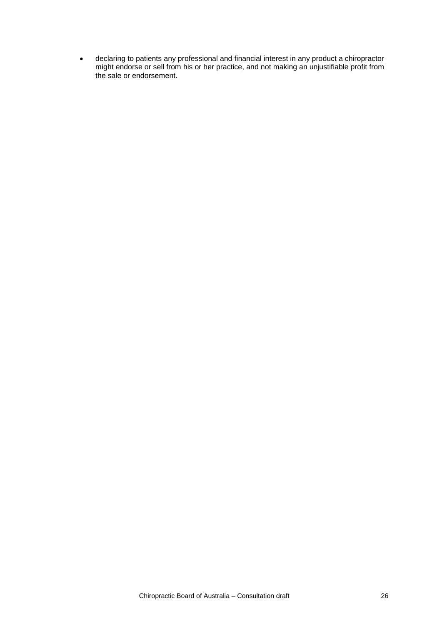declaring to patients any professional and financial interest in any product a chiropractor might endorse or sell from his or her practice, and not making an unjustifiable profit from the sale or endorsement.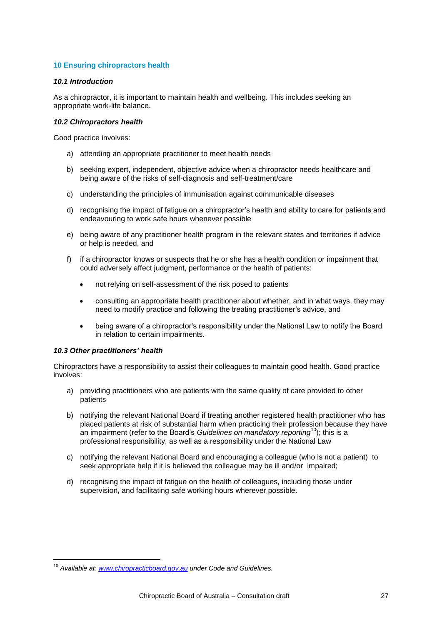## <span id="page-27-0"></span>**10 Ensuring chiropractors health**

## *10.1 Introduction*

As a chiropractor, it is important to maintain health and wellbeing. This includes seeking an appropriate work-life balance.

## *10.2 Chiropractors health*

Good practice involves:

- a) attending an appropriate practitioner to meet health needs
- b) seeking expert, independent, objective advice when a chiropractor needs healthcare and being aware of the risks of self-diagnosis and self-treatment/care
- c) understanding the principles of immunisation against communicable diseases
- d) recognising the impact of fatigue on a chiropractor's health and ability to care for patients and endeavouring to work safe hours whenever possible
- e) being aware of any practitioner health program in the relevant states and territories if advice or help is needed, and
- f) if a chiropractor knows or suspects that he or she has a health condition or impairment that could adversely affect judgment, performance or the health of patients:
	- not relying on self-assessment of the risk posed to patients
	- consulting an appropriate health practitioner about whether, and in what ways, they may need to modify practice and following the treating practitioner's advice, and
	- being aware of a chiropractor's responsibility under the National Law to notify the Board in relation to certain impairments.

## *10.3 Other practitioners' health*

1

Chiropractors have a responsibility to assist their colleagues to maintain good health. Good practice involves:

- a) providing practitioners who are patients with the same quality of care provided to other patients
- b) notifying the relevant National Board if treating another registered health practitioner who has placed patients at risk of substantial harm when practicing their profession because they have an impairment (refer to the Board's *Guidelines on mandatory reporting*<sup>10</sup>); this is a professional responsibility, as well as a responsibility under the National Law
- c) notifying the relevant National Board and encouraging a colleague (who is not a patient) to seek appropriate help if it is believed the colleague may be ill and/or impaired;
- d) recognising the impact of fatigue on the health of colleagues, including those under supervision, and facilitating safe working hours wherever possible.

<sup>10</sup> *Available at[: www.chiropracticboard.gov.au](http://www.chiropracticboard.gov.au/) under Code and Guidelines.*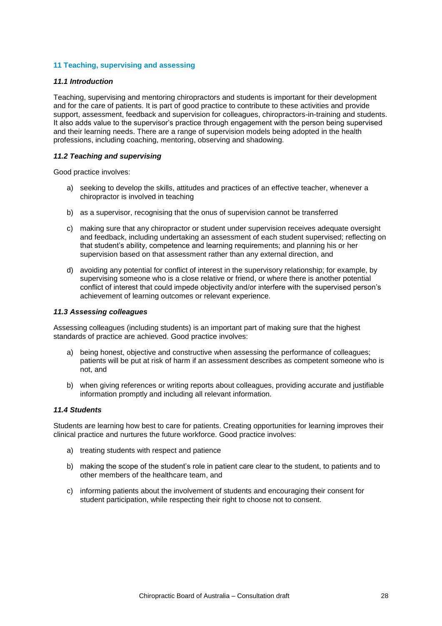## <span id="page-28-0"></span>**11 Teaching, supervising and assessing**

#### *11.1 Introduction*

Teaching, supervising and mentoring chiropractors and students is important for their development and for the care of patients. It is part of good practice to contribute to these activities and provide support, assessment, feedback and supervision for colleagues, chiropractors-in-training and students. It also adds value to the supervisor's practice through engagement with the person being supervised and their learning needs. There are a range of supervision models being adopted in the health professions, including coaching, mentoring, observing and shadowing.

## *11.2 Teaching and supervising*

Good practice involves:

- a) seeking to develop the skills, attitudes and practices of an effective teacher, whenever a chiropractor is involved in teaching
- b) as a supervisor, recognising that the onus of supervision cannot be transferred
- c) making sure that any chiropractor or student under supervision receives adequate oversight and feedback, including undertaking an assessment of each student supervised; reflecting on that student's ability, competence and learning requirements; and planning his or her supervision based on that assessment rather than any external direction, and
- d) avoiding any potential for conflict of interest in the supervisory relationship; for example, by supervising someone who is a close relative or friend, or where there is another potential conflict of interest that could impede objectivity and/or interfere with the supervised person's achievement of learning outcomes or relevant experience.

## *11.3 Assessing colleagues*

Assessing colleagues (including students) is an important part of making sure that the highest standards of practice are achieved. Good practice involves:

- a) being honest, objective and constructive when assessing the performance of colleagues; patients will be put at risk of harm if an assessment describes as competent someone who is not, and
- b) when giving references or writing reports about colleagues, providing accurate and justifiable information promptly and including all relevant information.

#### *11.4 Students*

Students are learning how best to care for patients. Creating opportunities for learning improves their clinical practice and nurtures the future workforce. Good practice involves:

- a) treating students with respect and patience
- b) making the scope of the student's role in patient care clear to the student, to patients and to other members of the healthcare team, and
- c) informing patients about the involvement of students and encouraging their consent for student participation, while respecting their right to choose not to consent.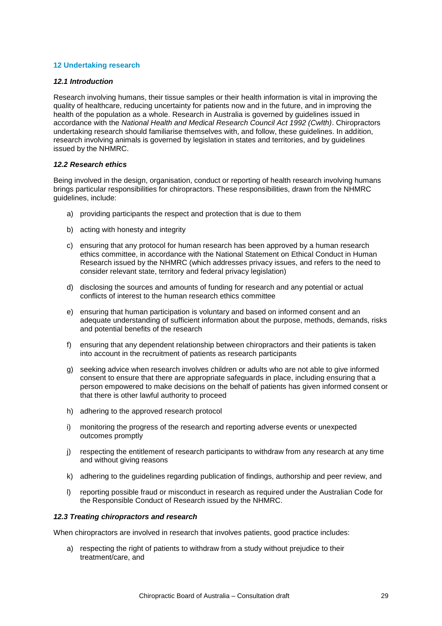## <span id="page-29-0"></span>**12 Undertaking research**

#### *12.1 Introduction*

Research involving humans, their tissue samples or their health information is vital in improving the quality of healthcare, reducing uncertainty for patients now and in the future, and in improving the health of the population as a whole. Research in Australia is governed by guidelines issued in accordance with the *National Health and Medical Research Council Act 1992 (Cwlth)*. Chiropractors undertaking research should familiarise themselves with, and follow, these guidelines. In addition, research involving animals is governed by legislation in states and territories, and by guidelines issued by the NHMRC.

## *12.2 Research ethics*

Being involved in the design, organisation, conduct or reporting of health research involving humans brings particular responsibilities for chiropractors. These responsibilities, drawn from the NHMRC guidelines, include:

- a) providing participants the respect and protection that is due to them
- b) acting with honesty and integrity
- c) ensuring that any protocol for human research has been approved by a human research ethics committee, in accordance with the National Statement on Ethical Conduct in Human Research issued by the NHMRC (which addresses privacy issues, and refers to the need to consider relevant state, territory and federal privacy legislation)
- d) disclosing the sources and amounts of funding for research and any potential or actual conflicts of interest to the human research ethics committee
- e) ensuring that human participation is voluntary and based on informed consent and an adequate understanding of sufficient information about the purpose, methods, demands, risks and potential benefits of the research
- f) ensuring that any dependent relationship between chiropractors and their patients is taken into account in the recruitment of patients as research participants
- g) seeking advice when research involves children or adults who are not able to give informed consent to ensure that there are appropriate safeguards in place, including ensuring that a person empowered to make decisions on the behalf of patients has given informed consent or that there is other lawful authority to proceed
- h) adhering to the approved research protocol
- i) monitoring the progress of the research and reporting adverse events or unexpected outcomes promptly
- j) respecting the entitlement of research participants to withdraw from any research at any time and without giving reasons
- k) adhering to the guidelines regarding publication of findings, authorship and peer review, and
- l) reporting possible fraud or misconduct in research as required under the Australian Code for the Responsible Conduct of Research issued by the NHMRC.

#### *12.3 Treating chiropractors and research*

When chiropractors are involved in research that involves patients, good practice includes:

a) respecting the right of patients to withdraw from a study without prejudice to their treatment/care, and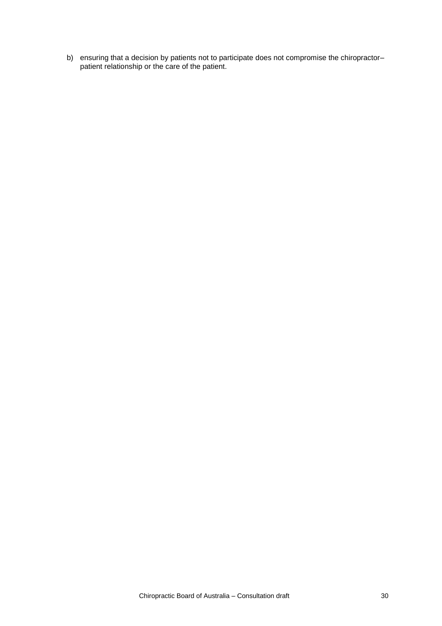b) ensuring that a decision by patients not to participate does not compromise the chiropractorpatient relationship or the care of the patient.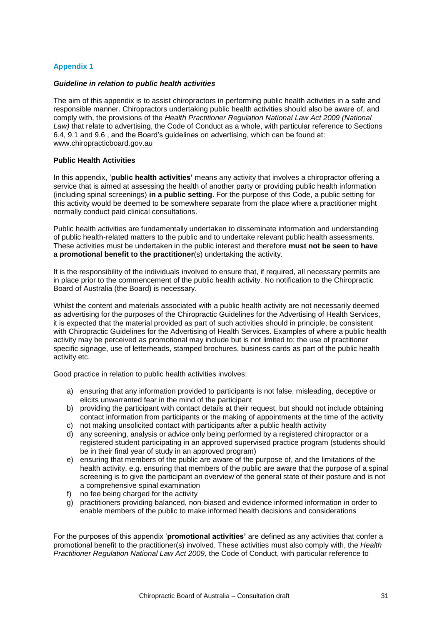## <span id="page-31-0"></span>**Appendix 1**

#### *Guideline in relation to public health activities*

The aim of this appendix is to assist chiropractors in performing public health activities in a safe and responsible manner. Chiropractors undertaking public health activities should also be aware of, and comply with, the provisions of the *Health Practitioner Regulation National Law Act 2009 (National Law)* that relate to advertising, the Code of Conduct as a whole, with particular reference to Sections 6.4, 9.1 and 9.6 , and the Board's guidelines on advertising, which can be found at: [www.chiropracticboard.gov.au](http://www.chiropracticboard.gov.au/)

## **Public Health Activities**

In this appendix, '**public health activities'** means any activity that involves a chiropractor offering a service that is aimed at assessing the health of another party or providing public health information (including spinal screenings) **in a public setting**. For the purpose of this Code, a public setting for this activity would be deemed to be somewhere separate from the place where a practitioner might normally conduct paid clinical consultations.

Public health activities are fundamentally undertaken to disseminate information and understanding of public health-related matters to the public and to undertake relevant public health assessments. These activities must be undertaken in the public interest and therefore **must not be seen to have a promotional benefit to the practitioner**(s) undertaking the activity.

It is the responsibility of the individuals involved to ensure that, if required, all necessary permits are in place prior to the commencement of the public health activity. No notification to the Chiropractic Board of Australia (the Board) is necessary.

Whilst the content and materials associated with a public health activity are not necessarily deemed as advertising for the purposes of the Chiropractic Guidelines for the Advertising of Health Services, it is expected that the material provided as part of such activities should in principle, be consistent with Chiropractic Guidelines for the Advertising of Health Services. Examples of where a public health activity may be perceived as promotional may include but is not limited to; the use of practitioner specific signage, use of letterheads, stamped brochures, business cards as part of the public health activity etc.

Good practice in relation to public health activities involves:

- a) ensuring that any information provided to participants is not false, misleading, deceptive or elicits unwarranted fear in the mind of the participant
- b) providing the participant with contact details at their request, but should not include obtaining contact information from participants or the making of appointments at the time of the activity
- c) not making unsolicited contact with participants after a public health activity
- d) any screening, analysis or advice only being performed by a registered chiropractor or a registered student participating in an approved supervised practice program (students should be in their final year of study in an approved program)
- e) ensuring that members of the public are aware of the purpose of, and the limitations of the health activity, e.g. ensuring that members of the public are aware that the purpose of a spinal screening is to give the participant an overview of the general state of their posture and is not a comprehensive spinal examination
- f) no fee being charged for the activity
- g) practitioners providing balanced, non-biased and evidence informed information in order to enable members of the public to make informed health decisions and considerations

For the purposes of this appendix '**promotional activities'** are defined as any activities that confer a promotional benefit to the practitioner(s) involved. These activities must also comply with, the *Health Practitioner Regulation National Law Act 2009,* the Code of Conduct, with particular reference to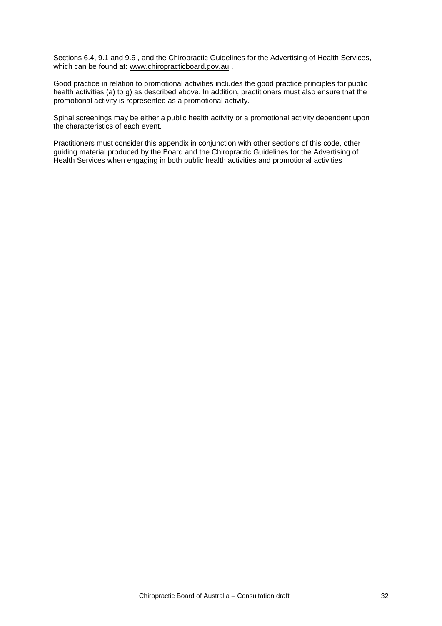Sections 6.4, 9.1 and 9.6 , and the Chiropractic Guidelines for the Advertising of Health Services, which can be found at: [www.chiropracticboard.gov.au](http://www.chiropracticboard.gov.au/) .

Good practice in relation to promotional activities includes the good practice principles for public health activities (a) to g) as described above. In addition, practitioners must also ensure that the promotional activity is represented as a promotional activity.

Spinal screenings may be either a public health activity or a promotional activity dependent upon the characteristics of each event.

Practitioners must consider this appendix in conjunction with other sections of this code, other guiding material produced by the Board and the Chiropractic Guidelines for the Advertising of Health Services when engaging in both public health activities and promotional activities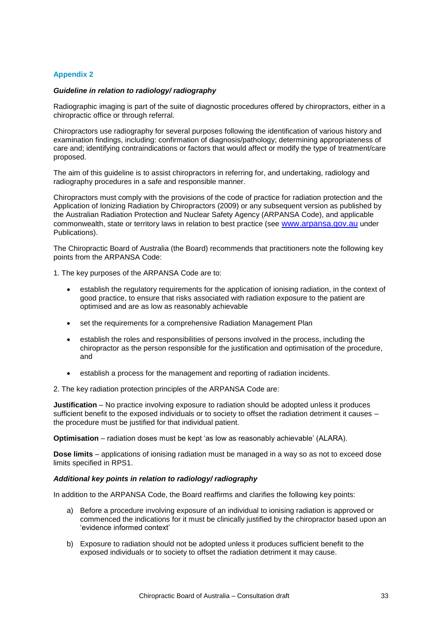## <span id="page-33-0"></span>**Appendix 2**

## *Guideline in relation to radiology/ radiography*

Radiographic imaging is part of the suite of diagnostic procedures offered by chiropractors, either in a chiropractic office or through referral.

Chiropractors use radiography for several purposes following the identification of various history and examination findings, including: confirmation of diagnosis/pathology; determining appropriateness of care and; identifying contraindications or factors that would affect or modify the type of treatment/care proposed.

The aim of this guideline is to assist chiropractors in referring for, and undertaking, radiology and radiography procedures in a safe and responsible manner.

Chiropractors must comply with the provisions of the code of practice for radiation protection and the Application of Ionizing Radiation by Chiropractors (2009) or any subsequent version as published by the Australian Radiation Protection and Nuclear Safety Agency (ARPANSA Code), and applicable commonwealth, state or territory laws in relation to best practice (see [www.arpansa.gov.au](http://www.arpansa.gov.au/) under Publications).

The Chiropractic Board of Australia (the Board) recommends that practitioners note the following key points from the ARPANSA Code:

- 1. The key purposes of the ARPANSA Code are to:
	- establish the regulatory requirements for the application of ionising radiation, in the context of good practice, to ensure that risks associated with radiation exposure to the patient are optimised and are as low as reasonably achievable
	- set the requirements for a comprehensive Radiation Management Plan
	- establish the roles and responsibilities of persons involved in the process, including the chiropractor as the person responsible for the justification and optimisation of the procedure, and
	- establish a process for the management and reporting of radiation incidents.

2. The key radiation protection principles of the ARPANSA Code are:

**Justification** – No practice involving exposure to radiation should be adopted unless it produces sufficient benefit to the exposed individuals or to society to offset the radiation detriment it causes the procedure must be justified for that individual patient.

**Optimisation** – radiation doses must be kept 'as low as reasonably achievable' (ALARA).

**Dose limits** – applications of ionising radiation must be managed in a way so as not to exceed dose limits specified in RPS1.

#### *Additional key points in relation to radiology/ radiography*

In addition to the ARPANSA Code, the Board reaffirms and clarifies the following key points:

- a) Before a procedure involving exposure of an individual to ionising radiation is approved or commenced the indications for it must be clinically justified by the chiropractor based upon an 'evidence informed context'
- b) Exposure to radiation should not be adopted unless it produces sufficient benefit to the exposed individuals or to society to offset the radiation detriment it may cause.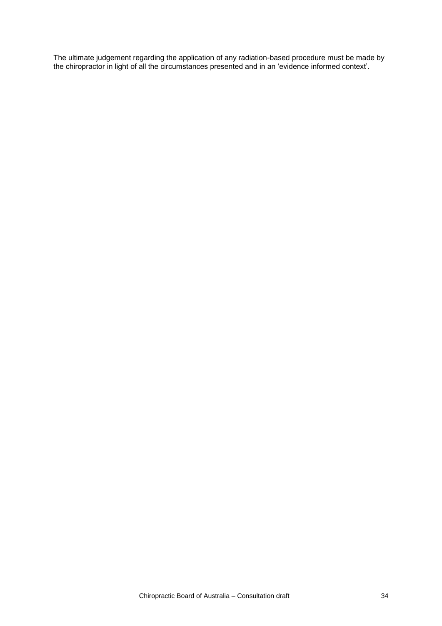The ultimate judgement regarding the application of any radiation-based procedure must be made by the chiropractor in light of all the circumstances presented and in an 'evidence informed context'.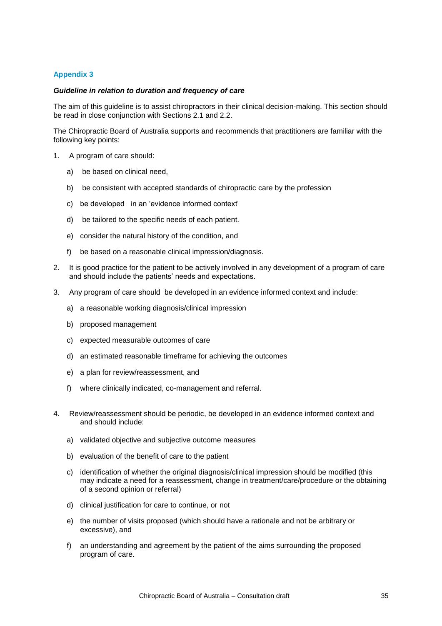## <span id="page-35-0"></span>**Appendix 3**

## *Guideline in relation to duration and frequency of care*

The aim of this guideline is to assist chiropractors in their clinical decision-making. This section should be read in close conjunction with Sections 2.1 and 2.2.

The Chiropractic Board of Australia supports and recommends that practitioners are familiar with the following key points:

- 1. A program of care should:
	- a) be based on clinical need,
	- b) be consistent with accepted standards of chiropractic care by the profession
	- c) be developed in an 'evidence informed context'
	- d) be tailored to the specific needs of each patient.
	- e) consider the natural history of the condition, and
	- f) be based on a reasonable clinical impression/diagnosis.
- 2. It is good practice for the patient to be actively involved in any development of a program of care and should include the patients' needs and expectations.
- 3. Any program of care should be developed in an evidence informed context and include:
	- a) a reasonable working diagnosis/clinical impression
	- b) proposed management
	- c) expected measurable outcomes of care
	- d) an estimated reasonable timeframe for achieving the outcomes
	- e) a plan for review/reassessment, and
	- f) where clinically indicated, co-management and referral.
- 4. Review/reassessment should be periodic, be developed in an evidence informed context and and should include:
	- a) validated objective and subjective outcome measures
	- b) evaluation of the benefit of care to the patient
	- c) identification of whether the original diagnosis/clinical impression should be modified (this may indicate a need for a reassessment, change in treatment/care/procedure or the obtaining of a second opinion or referral)
	- d) clinical justification for care to continue, or not
	- e) the number of visits proposed (which should have a rationale and not be arbitrary or excessive), and
	- f) an understanding and agreement by the patient of the aims surrounding the proposed program of care.